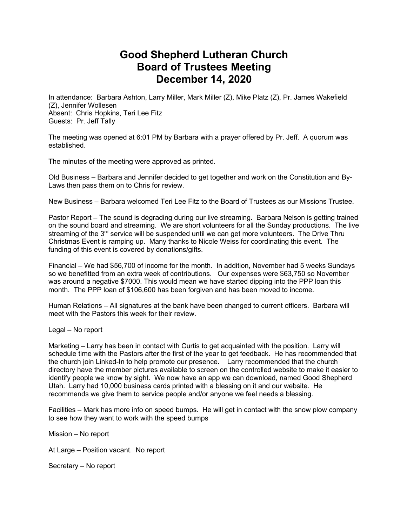## **Good Shepherd Lutheran Church Board of Trustees Meeting December 14, 2020**

In attendance: Barbara Ashton, Larry Miller, Mark Miller (Z), Mike Platz (Z), Pr. James Wakefield (Z), Jennifer Wollesen Absent: Chris Hopkins, Teri Lee Fitz Guests: Pr. Jeff Tally

The meeting was opened at 6:01 PM by Barbara with a prayer offered by Pr. Jeff. A quorum was established.

The minutes of the meeting were approved as printed.

Old Business – Barbara and Jennifer decided to get together and work on the Constitution and By-Laws then pass them on to Chris for review.

New Business – Barbara welcomed Teri Lee Fitz to the Board of Trustees as our Missions Trustee.

Pastor Report – The sound is degrading during our live streaming. Barbara Nelson is getting trained on the sound board and streaming. We are short volunteers for all the Sunday productions. The live streaming of the 3<sup>rd</sup> service will be suspended until we can get more volunteers. The Drive Thru Christmas Event is ramping up. Many thanks to Nicole Weiss for coordinating this event. The funding of this event is covered by donations/gifts.

Financial – We had \$56,700 of income for the month. In addition, November had 5 weeks Sundays so we benefitted from an extra week of contributions. Our expenses were \$63,750 so November was around a negative \$7000. This would mean we have started dipping into the PPP loan this month. The PPP loan of \$106,600 has been forgiven and has been moved to income.

Human Relations – All signatures at the bank have been changed to current officers. Barbara will meet with the Pastors this week for their review.

Legal – No report

Marketing – Larry has been in contact with Curtis to get acquainted with the position. Larry will schedule time with the Pastors after the first of the year to get feedback. He has recommended that the church join Linked-In to help promote our presence. Larry recommended that the church directory have the member pictures available to screen on the controlled website to make it easier to identify people we know by sight. We now have an app we can download, named Good Shepherd Utah. Larry had 10,000 business cards printed with a blessing on it and our website. He recommends we give them to service people and/or anyone we feel needs a blessing.

Facilities – Mark has more info on speed bumps. He will get in contact with the snow plow company to see how they want to work with the speed bumps

Mission – No report

At Large – Position vacant. No report

Secretary – No report